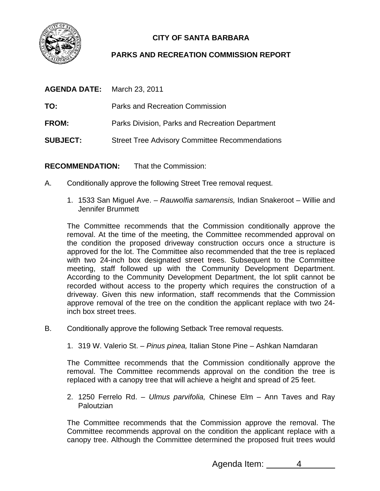

## **CITY OF SANTA BARBARA**

## **PARKS AND RECREATION COMMISSION REPORT**

| <b>AGENDA DATE:</b> | March 23, 2011                                        |
|---------------------|-------------------------------------------------------|
| TO:                 | Parks and Recreation Commission                       |
| <b>FROM:</b>        | Parks Division, Parks and Recreation Department       |
| <b>SUBJECT:</b>     | <b>Street Tree Advisory Committee Recommendations</b> |

**RECOMMENDATION:** That the Commission:

- A. Conditionally approve the following Street Tree removal request.
	- 1. 1533 San Miguel Ave. *Rauwolfia samarensis,* Indian Snakeroot Willie and Jennifer Brummett

The Committee recommends that the Commission conditionally approve the removal. At the time of the meeting, the Committee recommended approval on the condition the proposed driveway construction occurs once a structure is approved for the lot. The Committee also recommended that the tree is replaced with two 24-inch box designated street trees. Subsequent to the Committee meeting, staff followed up with the Community Development Department. According to the Community Development Department, the lot split cannot be recorded without access to the property which requires the construction of a driveway. Given this new information, staff recommends that the Commission approve removal of the tree on the condition the applicant replace with two 24 inch box street trees.

- B. Conditionally approve the following Setback Tree removal requests.
	- 1. 319 W. Valerio St. *Pinus pinea,* Italian Stone Pine Ashkan Namdaran

The Committee recommends that the Commission conditionally approve the removal. The Committee recommends approval on the condition the tree is replaced with a canopy tree that will achieve a height and spread of 25 feet.

2. 1250 Ferrelo Rd. – *Ulmus parvifolia,* Chinese Elm – Ann Taves and Ray **Paloutzian** 

The Committee recommends that the Commission approve the removal. The Committee recommends approval on the condition the applicant replace with a canopy tree. Although the Committee determined the proposed fruit trees would

Agenda Item: 4